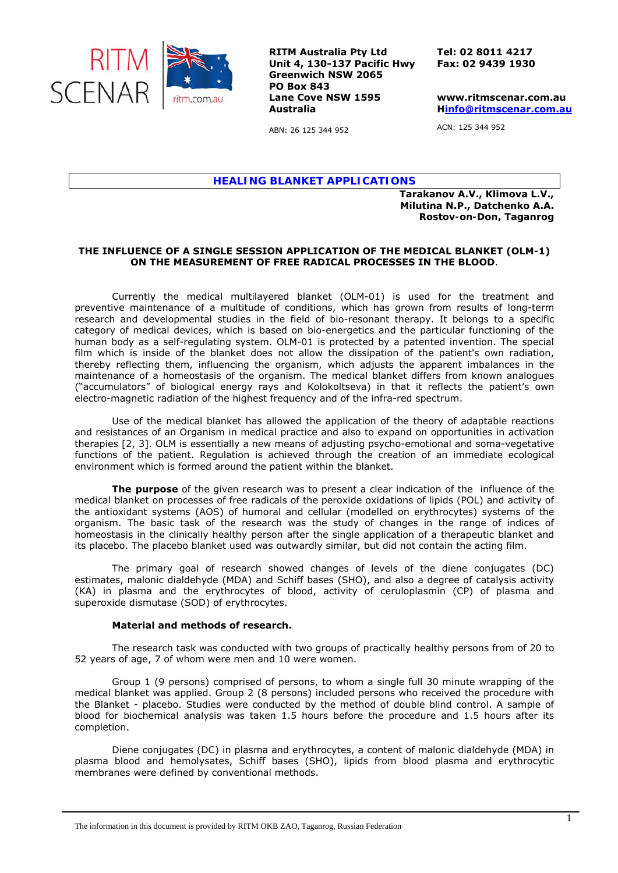

**RITM Australia Pty Ltd Unit 4, 130-137 Pacific Hwy Greenwich NSW 2065 PO Box 843 Lane Cove NSW 1595 Australia** 

**Tel: 02 8011 4217 Fax: 02 9439 1930** 

**www.ritmscenar.com.au Hinfo@ritmscenar.com.au**

ACN: 125 344 952

ABN: 26 125 344 952

*HEALING BLANKET APPLICATIONS* 

**Tarakanov A.V., Klimova L.V., Milutina N.P., Datchenko A.A.**  *Rostov-on-Don, Taganrog* 

## **THE INFLUENCE OF A SINGLE SESSION APPLICATION OF THE MEDICAL BLANKET (OLM-1) ON THE MEASUREMENT OF FREE RADICAL PROCESSES IN THE BLOOD**.

Currently the medical multilayered blanket (OLM-01) is used for the treatment and preventive maintenance of a multitude of conditions, which has grown from results of long-term research and developmental studies in the field of bio-resonant therapy. It belongs to a specific category of medical devices, which is based on bio-energetics and the particular functioning of the human body as a self-regulating system. OLM-01 is protected by a patented invention. The special film which is inside of the blanket does not allow the dissipation of the patient's own radiation, thereby reflecting them, influencing the organism, which adjusts the apparent imbalances in the maintenance of a homeostasis of the organism. The medical blanket differs from known analogues ("accumulators" of biological energy rays and Kolokoltseva) in that it reflects the patient's own electro-magnetic radiation of the highest frequency and of the infra-red spectrum.

Use of the medical blanket has allowed the application of the theory of adaptable reactions and resistances of an Organism in medical practice and also to expand on opportunities in activation therapies [2, 3]. OLM is essentially a new means of adjusting psycho-emotional and soma-vegetative functions of the patient. Regulation is achieved through the creation of an immediate ecological environment which is formed around the patient within the blanket.

**The purpose** of the given research was to present a clear indication of the influence of the medical blanket on processes of free radicals of the peroxide oxidations of lipids (POL) and activity of the antioxidant systems (AOS) of humoral and cellular (modelled on erythrocytes) systems of the organism. The basic task of the research was the study of changes in the range of indices of homeostasis in the clinically healthy person after the single application of a therapeutic blanket and its placebo. The placebo blanket used was outwardly similar, but did not contain the acting film.

The primary goal of research showed changes of levels of the diene conjugates (DC) estimates, malonic dialdehyde (MDA) and Schiff bases (SHO), and also a degree of catalysis activity (KA) in plasma and the erythrocytes of blood, activity of ceruloplasmin (CP) of plasma and superoxide dismutase (SOD) of erythrocytes.

## **Material and methods of research.**

The research task was conducted with two groups of practically healthy persons from of 20 to 52 years of age, 7 of whom were men and 10 were women.

Group 1 (9 persons) comprised of persons, to whom a single full 30 minute wrapping of the medical blanket was applied. Group 2 (8 persons) included persons who received the procedure with the Blanket - placebo. Studies were conducted by the method of double blind control. A sample of blood for biochemical analysis was taken 1.5 hours before the procedure and 1.5 hours after its completion.

Diene conjugates (DC) in plasma and erythrocytes, a content of malonic dialdehyde (MDA) in plasma blood and hemolysates, Schiff bases (SHO), lipids from blood plasma and erythrocytic membranes were defined by conventional methods.

The information in this document is provided by RITM OKB ZAO, Taganrog, Russian Federation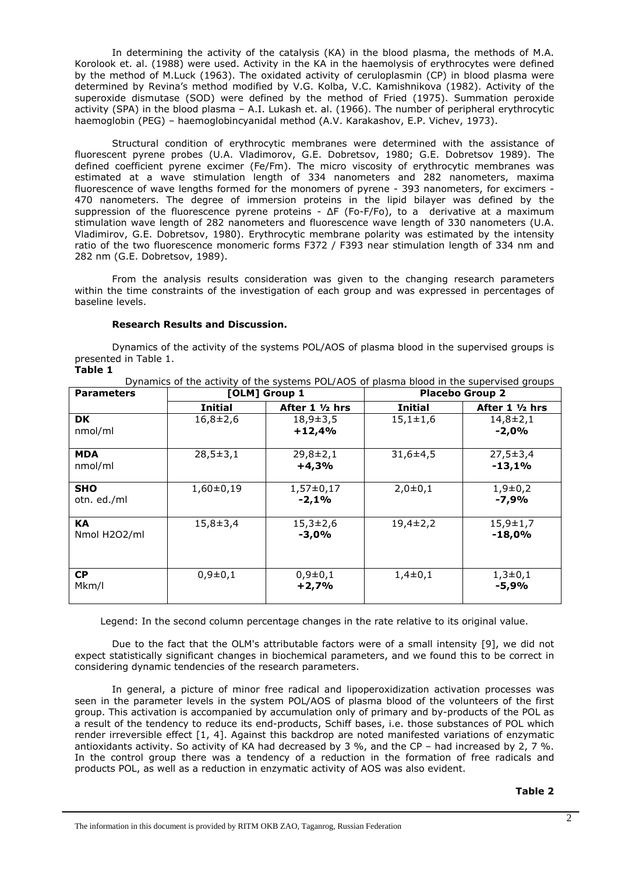In determining the activity of the catalysis (KA) in the blood plasma, the methods of M.A. Korolook et. al. (1988) were used. Activity in the KA in the haemolysis of erythrocytes were defined by the method of M.Luck (1963). The oxidated activity of ceruloplasmin (CP) in blood plasma were determined by Revina's method modified by V.G. Kolba, V.C. Kamishnikova (1982). Activity of the superoxide dismutase (SOD) were defined by the method of Fried (1975). Summation peroxide activity (SPA) in the blood plasma – A.I. Lukash et. al. (1966). The number of peripheral erythrocytic haemoglobin (PEG) – haemoglobincyanidal method (A.V. Karakashov, E.P. Vichev, 1973).

Structural condition of erythrocytic membranes were determined with the assistance of fluorescent pyrene probes (U.A. Vladimorov, G.E. Dobretsov, 1980; G.E. Dobretsov 1989). The defined coefficient pyrene excimer (Fe/Fm). The micro viscosity of erythrocytic membranes was estimated at a wave stimulation length of 334 nanometers and 282 nanometers, maxima fluorescence of wave lengths formed for the monomers of pyrene - 393 nanometers, for excimers - 470 nanometers. The degree of immersion proteins in the lipid bilayer was defined by the suppression of the fluorescence pyrene proteins - ΔF (Fo-F/Fo), to a derivative at a maximum stimulation wave length of 282 nanometers and fluorescence wave length of 330 nanometers (U.A. Vladimirov, G.E. Dobretsov, 1980). Erythrocytic membrane polarity was estimated by the intensity ratio of the two fluorescence monomeric forms F372 / F393 near stimulation length of 334 nm and 282 nm (G.E. Dobretsov, 1989).

From the analysis results consideration was given to the changing research parameters within the time constraints of the investigation of each group and was expressed in percentages of baseline levels.

## **Research Results and Discussion.**

Dynamics of the activity of the systems POL/AOS of plasma blood in the supervised groups is presented in Table 1. **Table 1** 

| <b>Parameters</b>         | [OLM] Group 1  |                            | Dynamics or the activity or the systems FOL/AOS or plasma blood in the sapervised groups<br><b>Placebo Group 2</b> |                            |
|---------------------------|----------------|----------------------------|--------------------------------------------------------------------------------------------------------------------|----------------------------|
|                           | <b>Initial</b> | After $1 \frac{1}{2}$ hrs  | <b>Initial</b>                                                                                                     | After $1 \frac{1}{2}$ hrs  |
| <b>DK</b><br>nmol/ml      | $16,8 \pm 2,6$ | $18,9 \pm 3,5$<br>$+12,4%$ | $15,1 \pm 1,6$                                                                                                     | $14,8 \pm 2,1$<br>$-2,0%$  |
| <b>MDA</b><br>nmol/ml     | $28,5 \pm 3,1$ | $29,8 \pm 2,1$<br>$+4,3%$  | $31,6+4,5$                                                                                                         | $27,5 \pm 3,4$<br>$-13,1%$ |
| <b>SHO</b><br>otn. ed./ml | $1,60\pm0,19$  | $1,57\pm0,17$<br>$-2,1%$   | $2,0+0,1$                                                                                                          | $1,9+0,2$<br>$-7,9%$       |
| <b>KA</b><br>Nmol H2O2/ml | $15,8 \pm 3,4$ | $15,3 \pm 2,6$<br>$-3,0%$  | $19,4 \pm 2,2$                                                                                                     | $15,9 \pm 1,7$<br>$-18,0%$ |
| <b>CP</b><br>Mkm/l        | $0,9\pm0,1$    | $0,9\pm0,1$<br>$+2,7%$     | $1,4\pm0,1$                                                                                                        | $1,3\pm0,1$<br>$-5,9%$     |

*Dynamics of the activity of the systems POL/AOS of plasma blood in the supervised groups* 

Legend: In the second column percentage changes in the rate relative to its original value.

Due to the fact that the OLM's attributable factors were of a small intensity [9], we did not expect statistically significant changes in biochemical parameters, and we found this to be correct in considering dynamic tendencies of the research parameters.

In general, a picture of minor free radical and lipoperoxidization activation processes was seen in the parameter levels in the system POL/AOS of plasma blood of the volunteers of the first group. This activation is accompanied by accumulation only of primary and by-products of the POL as a result of the tendency to reduce its end-products, Schiff bases, i.e. those substances of POL which render irreversible effect [1, 4]. Against this backdrop are noted manifested variations of enzymatic antioxidants activity. So activity of КА had decreased by 3 %, and the CP – had increased by 2, 7 %. In the control group there was a tendency of a reduction in the formation of free radicals and products POL, as well as a reduction in enzymatic activity of АОS was also evident.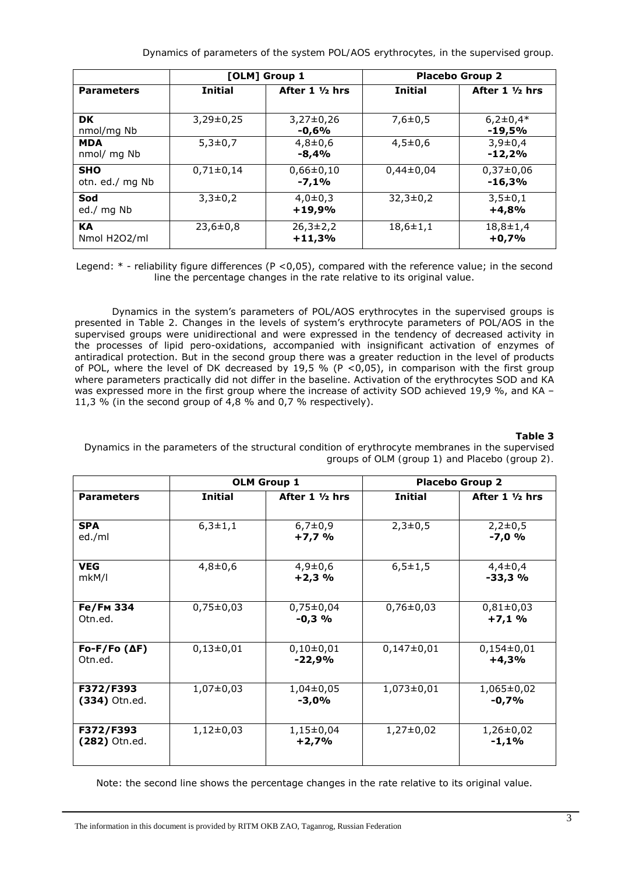*Dynamics of parameters of the system POL/AOS erythrocytes, in the supervised group.* 

|                               | [OLM] Group 1  |                            | <b>Placebo Group 2</b> |                           |
|-------------------------------|----------------|----------------------------|------------------------|---------------------------|
| <b>Parameters</b>             | <b>Initial</b> | After $1 \frac{1}{2}$ hrs  | <b>Initial</b>         | After $1 \frac{1}{2}$ hrs |
| <b>DK</b><br>nmol/mg Nb       | $3,29\pm0,25$  | $3,27\pm0,26$<br>$-0.6%$   | $7,6 \pm 0,5$          | $6,2\pm0,4*$<br>$-19,5%$  |
| <b>MDA</b><br>nmol/ mg Nb     | $5,3 \pm 0.7$  | $4,8 \pm 0,6$<br>$-8.4%$   | $4,5 \pm 0.6$          | $3,9 \pm 0,4$<br>$-12,2%$ |
| <b>SHO</b><br>otn. ed./ mg Nb | $0,71\pm0,14$  | $0,66 \pm 0,10$<br>$-7,1%$ | $0,44\pm0,04$          | $0,37\pm0,06$<br>$-16,3%$ |
| Sod<br>ed./ mg Nb             | $3,3\pm0,2$    | $4,0\pm0,3$<br>$+19,9%$    | $32,3 \pm 0,2$         | $3,5\pm0,1$<br>$+4,8%$    |
| <b>KA</b><br>Nmol H2O2/ml     | $23,6 \pm 0,8$ | $26,3\pm2,2$<br>$+11,3%$   | $18,6 \pm 1,1$         | $18,8 \pm 1,4$<br>$+0,7%$ |

Legend: \* - reliability figure differences (P <0,05), compared with the reference value; in the second line the percentage changes in the rate relative to its original value.

Dynamics in the system's parameters of POL/AOS erythrocytes in the supervised groups is presented in Table 2. Changes in the levels of system's erythrocyte parameters of POL/AOS in the supervised groups were unidirectional and were expressed in the tendency of decreased activity in the processes of lipid pero-oxidations, accompanied with insignificant activation of enzymes of antiradical protection. But in the second group there was a greater reduction in the level of products of POL, where the level of DK decreased by 19,5 % (P <0,05), in comparison with the first group where parameters practically did not differ in the baseline. Activation of the erythrocytes SOD and КА was expressed more in the first group where the increase of activity SOD achieved 19,9 %, and KA – 11,3 % (in the second group of  $4,8$  % and 0,7 % respectively).

# **Table 3**

*Dynamics in the parameters of the structural condition of erythrocyte membranes in the supervised groups of OLM (group 1) and Placebo (group 2).* 

|                                | <b>OLM Group 1</b> |                           | <b>Placebo Group 2</b> |                           |
|--------------------------------|--------------------|---------------------------|------------------------|---------------------------|
| <b>Parameters</b>              | <b>Initial</b>     | After $1 \frac{1}{2}$ hrs | <b>Initial</b>         | After $1 \frac{1}{2}$ hrs |
| <b>SPA</b><br>ed./ml           | $6,3 \pm 1,1$      | $6,7 \pm 0,9$<br>$+7,7%$  | $2,3 \pm 0,5$          | $2,2\pm0,5$<br>$-7,0%$    |
| <b>VEG</b><br>mkM/l            | $4,8 + 0,6$        | $4,9 \pm 0,6$<br>$+2,3%$  | $6,5 \pm 1,5$          | $4,4\pm0,4$<br>$-33,3%$   |
| <b>Fe/Fм 334</b><br>Otn.ed.    | $0,75\pm0,03$      | $0,75\pm0,04$<br>$-0,3$ % | $0,76 \pm 0,03$        | $0,81\pm0,03$<br>$+7,1%$  |
| $Fo-F/Fo(\Delta F)$<br>Otn.ed. | $0,13\pm0,01$      | $0,10\pm0,01$<br>$-22,9%$ | $0,147\pm0.01$         | $0,154\pm0.01$<br>$+4,3%$ |
| F372/F393<br>$(334)$ Otn.ed.   | $1,07\pm0,03$      | $1,04\pm0,05$<br>$-3,0%$  | $1,073\pm0,01$         | 1,065±0,02<br>$-0,7%$     |
| F372/F393<br>$(282)$ Otn.ed.   | $1,12\pm0,03$      | $1,15\pm0,04$<br>$+2,7%$  | $1,27\pm0,02$          | $1,26\pm0,02$<br>$-1,1%$  |

Note: the second line shows the percentage changes in the rate relative to its original value.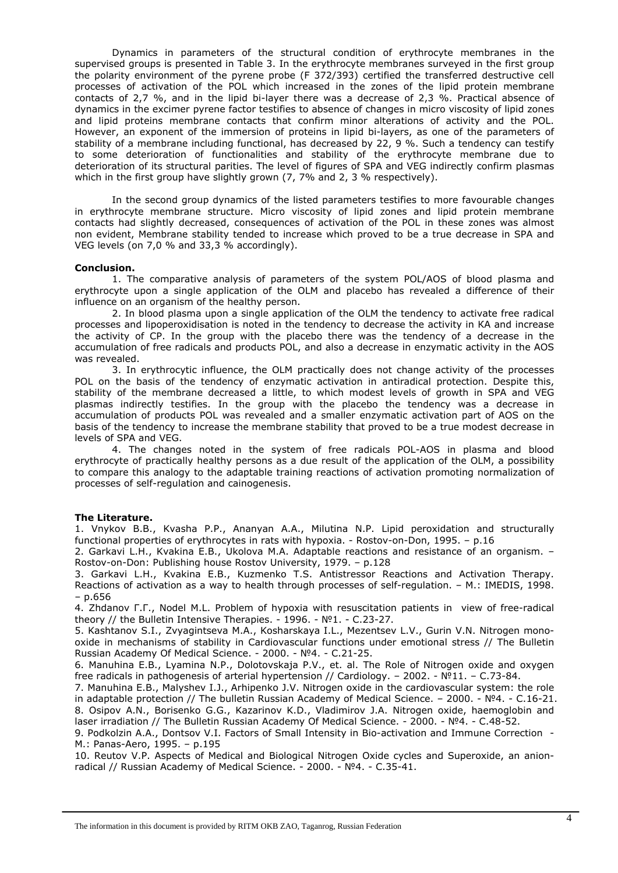Dynamics in parameters of the structural condition of erythrocyte membranes in the supervised groups is presented in Table 3. In the erythrocyte membranes surveyed in the first group the polarity environment of the pyrene probe (F 372/393) certified the transferred destructive cell processes of activation of the POL which increased in the zones of the lipid protein membrane contacts of 2,7 %, and in the lipid bi-layer there was a decrease of 2,3 %. Practical absence of dynamics in the excimer pyrene factor testifies to absence of changes in micro viscosity of lipid zones and lipid proteins membrane contacts that confirm minor alterations of activity and the POL. However, an exponent of the immersion of proteins in lipid bi-layers, as one of the parameters of stability of a membrane including functional, has decreased by 22, 9 %. Such a tendency can testify to some deterioration of functionalities and stability of the erythrocyte membrane due to deterioration of its structural parities. The level of figures of SPA and VEG indirectly confirm plasmas which in the first group have slightly grown (7, 7% and 2, 3 % respectively).

In the second group dynamics of the listed parameters testifies to more favourable changes in erythrocyte membrane structure. Micro viscosity of lipid zones and lipid protein membrane contacts had slightly decreased, consequences of activation of the POL in these zones was almost non evident, Membrane stability tended to increase which proved to be a true decrease in SPA and VEG levels (on 7,0 % and 33,3 % accordingly).

#### **Conclusion.**

1. The comparative analysis of parameters of the system POL/AOS of blood plasma and erythrocyte upon a single application of the OLM and placebo has revealed a difference of their influence on an organism of the healthy person.

2. In blood plasma upon a single application of the OLM the tendency to activate free radical processes and lipoperoxidisation is noted in the tendency to decrease the activity in КА and increase the activity of CP. In the group with the placebo there was the tendency of a decrease in the accumulation of free radicals and products POL, and also a decrease in enzymatic activity in the АОS was revealed.

3. In erythrocytic influence, the OLM practically does not change activity of the processes POL on the basis of the tendency of enzymatic activation in antiradical protection. Despite this, stability of the membrane decreased a little, to which modest levels of growth in SPA and VEG plasmas indirectly testifies. In the group with the placebo the tendency was a decrease in accumulation of products POL was revealed and a smaller enzymatic activation part of АОS on the basis of the tendency to increase the membrane stability that proved to be a true modest decrease in levels of SPA and VEG.

4. The changes noted in the system of free radicals POL-АОS in plasma and blood erythrocyte of practically healthy persons as a due result of the application of the OLM, a possibility to compare this analogy to the adaptable training reactions of activation promoting normalization of processes of self-regulation and cainogenesis.

## **The Literature.**

1. Vnykov В.В., Kvasha P.P., Ananyan A.A., Milutina N.P. Lipid peroxidation and structurally functional properties of erythrocytes in rats with hypoxia. - Rostov-on-Don, 1995. – p.16

2. Garkavi L.H., Kvakina E.B., Ukolova M.A. Adaptable reactions and resistance of an organism. – Rostov-on-Don: Publishing house Rostov University, 1979. – p.128

3. Garkavi L.H., Kvakina E.B., Kuzmenko T.S. Antistressor Reactions and Activation Therapy. Reactions of activation as a way to health through processes of self-regulation. – М.: IMEDIS, 1998. – p.656

4. Zhdanov Г.Г., Nodel M.L. Problem of hypoxia with resuscitation patients in view of free-radical theory // the Bulletin Intensive Therapies. - 1996. - №1. - С.23-27.

5. Kashtanov S.I., Zvyagintseva M.A., Kosharskaya I.L., Mezentsev L.V., Gurin V.N. Nitrogen monooxide in mechanisms of stability in Cardiovascular functions under emotional stress // The Bulletin Russian Academy Of Medical Science. - 2000. - №4. - С.21-25.

6. Manuhina E.B., Lyamina N.P., Dolotovskaja P.V., et. al. The Role of Nitrogen oxide and oxygen free radicals in pathogenesis of arterial hypertension // Cardiology. – 2002. - №11. – С.73-84.

7. Manuhina E.B., Malyshev I.J., Arhipenko J.V. Nitrogen oxide in the cardiovascular system: the role in adaptable protection // The bulletin Russian Academy of Medical Science. – 2000. - №4. - С.16-21. 8. Osipov A.N., Borisenko G.G., Kazarinov K.D., Vladimirov J.A. Nitrogen oxide, haemoglobin and laser irradiation // The Bulletin Russian Academy Of Medical Science. - 2000. - №4. - С.48-52.

9. Podkolzin A.A., Dontsov V.I. Factors of Small Intensity in Bio-activation and Immune Correction - М.: Panas-Aero, 1995. – p.195

10. Reutov V.P. Aspects of Medical and Biological Nitrogen Oxide cycles and Superoxide, an anionradical // Russian Academy of Medical Science. - 2000. - №4. - С.35-41.